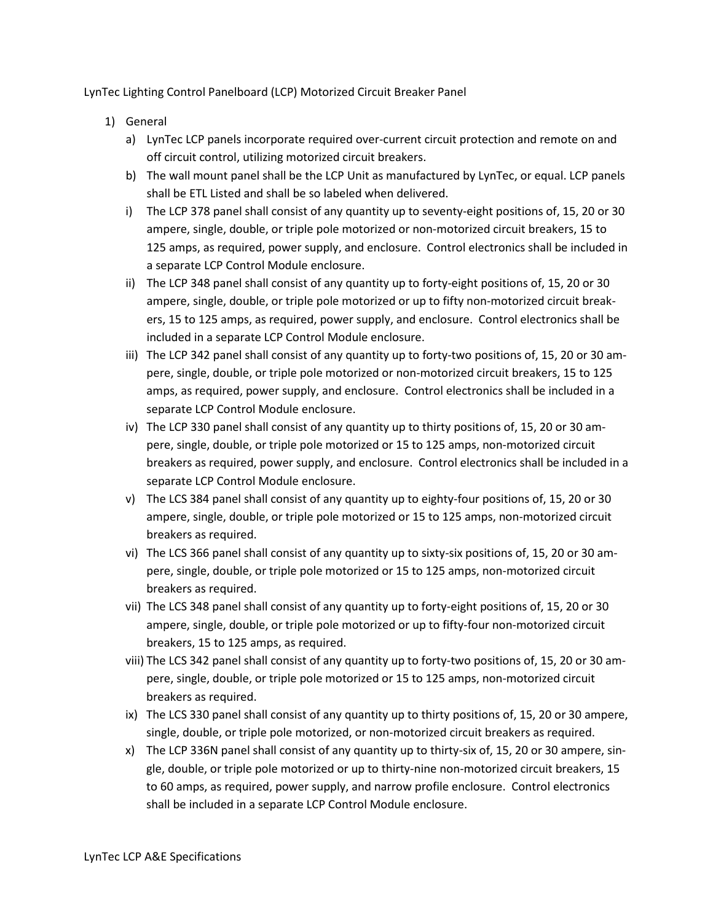LynTec Lighting Control Panelboard (LCP) Motorized Circuit Breaker Panel

- 1) General
	- a) LynTec LCP panels incorporate required over-current circuit protection and remote on and off circuit control, utilizing motorized circuit breakers.
	- b) The wall mount panel shall be the LCP Unit as manufactured by LynTec, or equal. LCP panels shall be ETL Listed and shall be so labeled when delivered.
	- i) The LCP 378 panel shall consist of any quantity up to seventy-eight positions of, 15, 20 or 30 ampere, single, double, or triple pole motorized or non-motorized circuit breakers, 15 to 125 amps, as required, power supply, and enclosure. Control electronics shall be included in a separate LCP Control Module enclosure.
	- ii) The LCP 348 panel shall consist of any quantity up to forty-eight positions of, 15, 20 or 30 ampere, single, double, or triple pole motorized or up to fifty non-motorized circuit breakers, 15 to 125 amps, as required, power supply, and enclosure. Control electronics shall be included in a separate LCP Control Module enclosure.
	- iii) The LCP 342 panel shall consist of any quantity up to forty-two positions of, 15, 20 or 30 ampere, single, double, or triple pole motorized or non-motorized circuit breakers, 15 to 125 amps, as required, power supply, and enclosure. Control electronics shall be included in a separate LCP Control Module enclosure.
	- iv) The LCP 330 panel shall consist of any quantity up to thirty positions of, 15, 20 or 30 ampere, single, double, or triple pole motorized or 15 to 125 amps, non-motorized circuit breakers as required, power supply, and enclosure. Control electronics shall be included in a separate LCP Control Module enclosure.
	- v) The LCS 384 panel shall consist of any quantity up to eighty-four positions of, 15, 20 or 30 ampere, single, double, or triple pole motorized or 15 to 125 amps, non-motorized circuit breakers as required.
	- vi) The LCS 366 panel shall consist of any quantity up to sixty-six positions of, 15, 20 or 30 ampere, single, double, or triple pole motorized or 15 to 125 amps, non-motorized circuit breakers as required.
	- vii) The LCS 348 panel shall consist of any quantity up to forty-eight positions of, 15, 20 or 30 ampere, single, double, or triple pole motorized or up to fifty-four non-motorized circuit breakers, 15 to 125 amps, as required.
	- viii) The LCS 342 panel shall consist of any quantity up to forty-two positions of, 15, 20 or 30 ampere, single, double, or triple pole motorized or 15 to 125 amps, non-motorized circuit breakers as required.
	- ix) The LCS 330 panel shall consist of any quantity up to thirty positions of, 15, 20 or 30 ampere, single, double, or triple pole motorized, or non-motorized circuit breakers as required.
	- x) The LCP 336N panel shall consist of any quantity up to thirty-six of, 15, 20 or 30 ampere, single, double, or triple pole motorized or up to thirty-nine non-motorized circuit breakers, 15 to 60 amps, as required, power supply, and narrow profile enclosure. Control electronics shall be included in a separate LCP Control Module enclosure.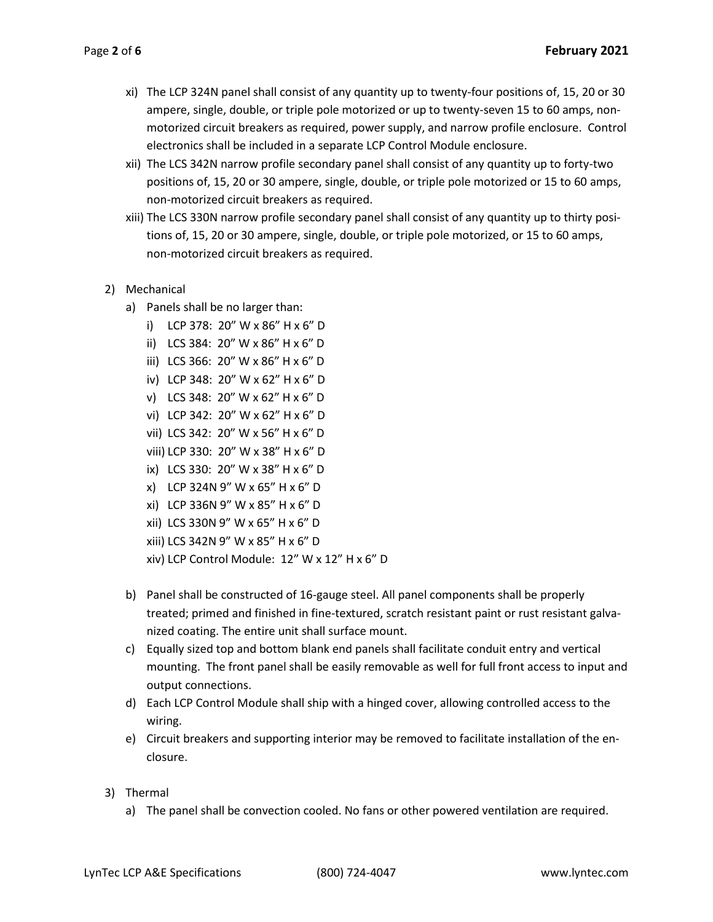- xi) The LCP 324N panel shall consist of any quantity up to twenty-four positions of, 15, 20 or 30 ampere, single, double, or triple pole motorized or up to twenty-seven 15 to 60 amps, nonmotorized circuit breakers as required, power supply, and narrow profile enclosure. Control electronics shall be included in a separate LCP Control Module enclosure.
- xii) The LCS 342N narrow profile secondary panel shall consist of any quantity up to forty-two positions of, 15, 20 or 30 ampere, single, double, or triple pole motorized or 15 to 60 amps, non-motorized circuit breakers as required.
- xiii) The LCS 330N narrow profile secondary panel shall consist of any quantity up to thirty positions of, 15, 20 or 30 ampere, single, double, or triple pole motorized, or 15 to 60 amps, non-motorized circuit breakers as required.
- 2) Mechanical
	- a) Panels shall be no larger than:
		- i) LCP 378: 20" W x 86" H x 6" D
		- ii) LCS 384: 20" W x 86" H x 6" D
		- iii) LCS 366: 20" W x 86" H x 6" D
		- iv) LCP 348: 20" W x 62" H x 6" D
		- v) LCS 348: 20" W x 62" H x 6" D
		- vi) LCP 342: 20" W x 62" H x 6" D
		- vii) LCS 342: 20" W x 56" H x 6" D
		- viii) LCP 330: 20" W x 38" H x 6" D
		- ix) LCS 330: 20" W x 38" H x 6" D
		- x) LCP 324N 9" W x 65" H x 6" D
		- xi) LCP 336N 9" W x 85" H x 6" D
		- xii) LCS 330N 9" W x 65" H x 6" D
		- xiii) LCS 342N 9" W x 85" H x 6" D
		- xiv) LCP Control Module: 12" W x 12" H x 6" D
	- b) Panel shall be constructed of 16-gauge steel. All panel components shall be properly treated; primed and finished in fine-textured, scratch resistant paint or rust resistant galvanized coating. The entire unit shall surface mount.
	- c) Equally sized top and bottom blank end panels shall facilitate conduit entry and vertical mounting. The front panel shall be easily removable as well for full front access to input and output connections.
	- d) Each LCP Control Module shall ship with a hinged cover, allowing controlled access to the wiring.
	- e) Circuit breakers and supporting interior may be removed to facilitate installation of the enclosure.
- 3) Thermal
	- a) The panel shall be convection cooled. No fans or other powered ventilation are required.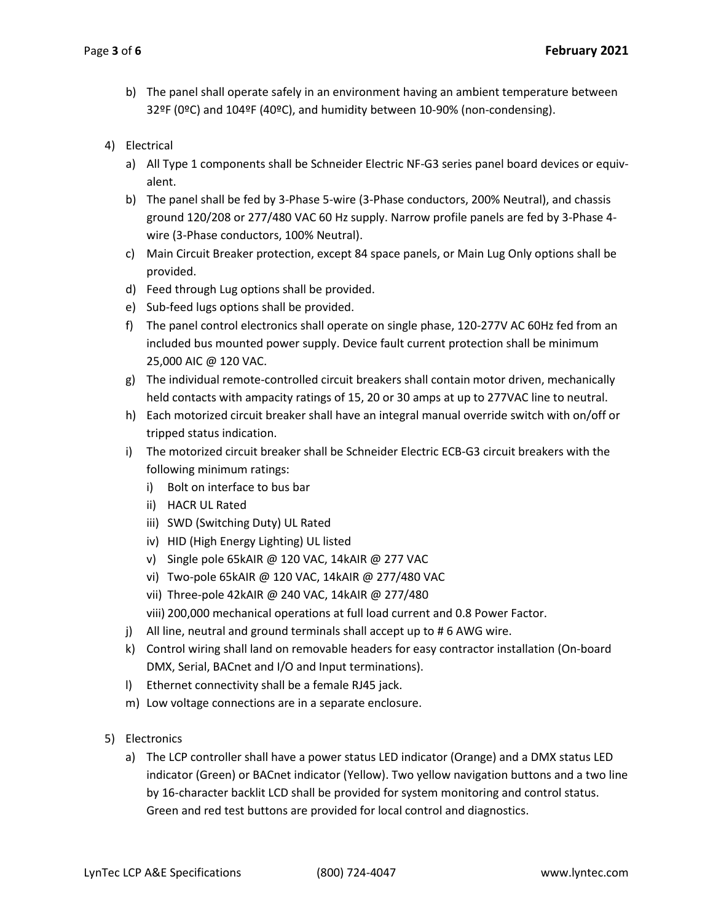- b) The panel shall operate safely in an environment having an ambient temperature between 32ºF (0ºC) and 104ºF (40ºC), and humidity between 10-90% (non-condensing).
- 4) Electrical
	- a) All Type 1 components shall be Schneider Electric NF-G3 series panel board devices or equivalent.
	- b) The panel shall be fed by 3-Phase 5-wire (3-Phase conductors, 200% Neutral), and chassis ground 120/208 or 277/480 VAC 60 Hz supply. Narrow profile panels are fed by 3-Phase 4 wire (3-Phase conductors, 100% Neutral).
	- c) Main Circuit Breaker protection, except 84 space panels, or Main Lug Only options shall be provided.
	- d) Feed through Lug options shall be provided.
	- e) Sub-feed lugs options shall be provided.
	- f) The panel control electronics shall operate on single phase, 120-277V AC 60Hz fed from an included bus mounted power supply. Device fault current protection shall be minimum 25,000 AIC @ 120 VAC.
	- g) The individual remote-controlled circuit breakers shall contain motor driven, mechanically held contacts with ampacity ratings of 15, 20 or 30 amps at up to 277VAC line to neutral.
	- h) Each motorized circuit breaker shall have an integral manual override switch with on/off or tripped status indication.
	- i) The motorized circuit breaker shall be Schneider Electric ECB-G3 circuit breakers with the following minimum ratings:
		- i) Bolt on interface to bus bar
		- ii) HACR UL Rated
		- iii) SWD (Switching Duty) UL Rated
		- iv) HID (High Energy Lighting) UL listed
		- v) Single pole 65kAIR @ 120 VAC, 14kAIR @ 277 VAC
		- vi) Two-pole 65kAIR @ 120 VAC, 14kAIR @ 277/480 VAC
		- vii) Three-pole 42kAIR @ 240 VAC, 14kAIR @ 277/480
		- viii) 200,000 mechanical operations at full load current and 0.8 Power Factor.
	- j) All line, neutral and ground terminals shall accept up to # 6 AWG wire.
	- k) Control wiring shall land on removable headers for easy contractor installation (On-board DMX, Serial, BACnet and I/O and Input terminations).
	- l) Ethernet connectivity shall be a female RJ45 jack.
	- m) Low voltage connections are in a separate enclosure.
- 5) Electronics
	- a) The LCP controller shall have a power status LED indicator (Orange) and a DMX status LED indicator (Green) or BACnet indicator (Yellow). Two yellow navigation buttons and a two line by 16-character backlit LCD shall be provided for system monitoring and control status. Green and red test buttons are provided for local control and diagnostics.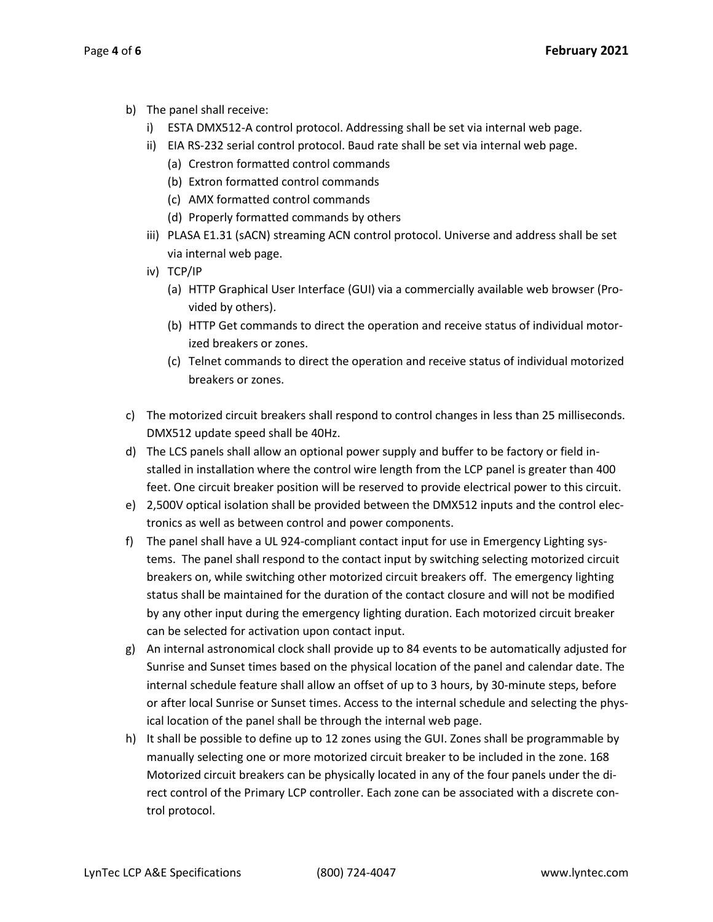- b) The panel shall receive:
	- i) ESTA DMX512-A control protocol. Addressing shall be set via internal web page.
	- ii) EIA RS-232 serial control protocol. Baud rate shall be set via internal web page.
		- (a) Crestron formatted control commands
		- (b) Extron formatted control commands
		- (c) AMX formatted control commands
		- (d) Properly formatted commands by others
	- iii) PLASA E1.31 (sACN) streaming ACN control protocol. Universe and address shall be set via internal web page.
	- iv) TCP/IP
		- (a) HTTP Graphical User Interface (GUI) via a commercially available web browser (Provided by others).
		- (b) HTTP Get commands to direct the operation and receive status of individual motorized breakers or zones.
		- (c) Telnet commands to direct the operation and receive status of individual motorized breakers or zones.
- c) The motorized circuit breakers shall respond to control changes in less than 25 milliseconds. DMX512 update speed shall be 40Hz.
- d) The LCS panels shall allow an optional power supply and buffer to be factory or field installed in installation where the control wire length from the LCP panel is greater than 400 feet. One circuit breaker position will be reserved to provide electrical power to this circuit.
- e) 2,500V optical isolation shall be provided between the DMX512 inputs and the control electronics as well as between control and power components.
- f) The panel shall have a UL 924-compliant contact input for use in Emergency Lighting systems. The panel shall respond to the contact input by switching selecting motorized circuit breakers on, while switching other motorized circuit breakers off. The emergency lighting status shall be maintained for the duration of the contact closure and will not be modified by any other input during the emergency lighting duration. Each motorized circuit breaker can be selected for activation upon contact input.
- g) An internal astronomical clock shall provide up to 84 events to be automatically adjusted for Sunrise and Sunset times based on the physical location of the panel and calendar date. The internal schedule feature shall allow an offset of up to 3 hours, by 30-minute steps, before or after local Sunrise or Sunset times. Access to the internal schedule and selecting the physical location of the panel shall be through the internal web page.
- h) It shall be possible to define up to 12 zones using the GUI. Zones shall be programmable by manually selecting one or more motorized circuit breaker to be included in the zone. 168 Motorized circuit breakers can be physically located in any of the four panels under the direct control of the Primary LCP controller. Each zone can be associated with a discrete control protocol.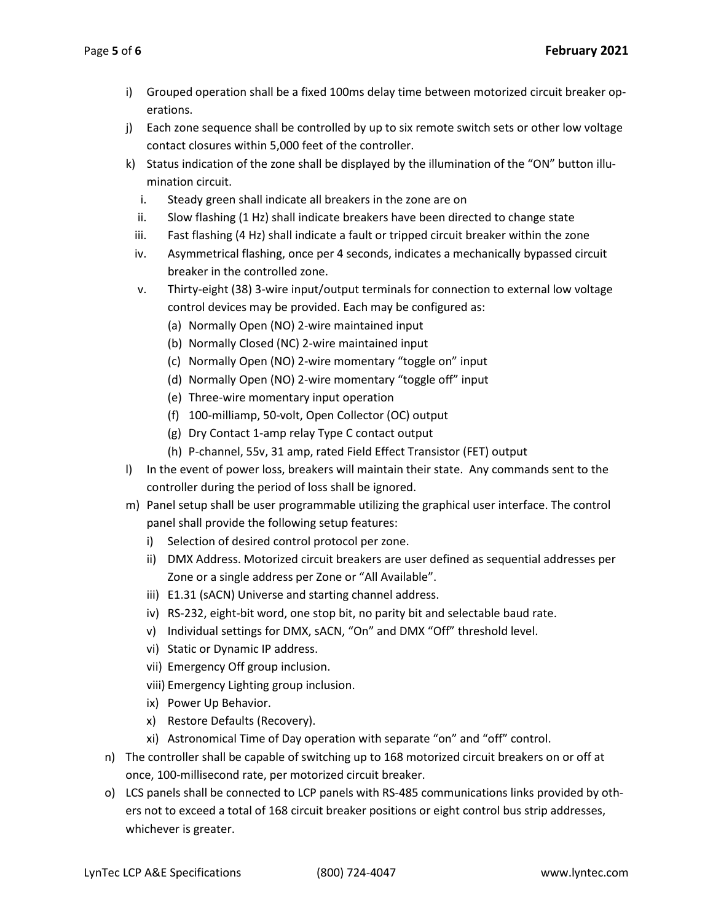- i) Grouped operation shall be a fixed 100ms delay time between motorized circuit breaker operations.
- j) Each zone sequence shall be controlled by up to six remote switch sets or other low voltage contact closures within 5,000 feet of the controller.
- k) Status indication of the zone shall be displayed by the illumination of the "ON" button illumination circuit.
	- i. Steady green shall indicate all breakers in the zone are on
	- ii. Slow flashing (1 Hz) shall indicate breakers have been directed to change state
	- iii. Fast flashing (4 Hz) shall indicate a fault or tripped circuit breaker within the zone
	- iv. Asymmetrical flashing, once per 4 seconds, indicates a mechanically bypassed circuit breaker in the controlled zone.
	- v. Thirty-eight (38) 3-wire input/output terminals for connection to external low voltage control devices may be provided. Each may be configured as:
		- (a) Normally Open (NO) 2-wire maintained input
		- (b) Normally Closed (NC) 2-wire maintained input
		- (c) Normally Open (NO) 2-wire momentary "toggle on" input
		- (d) Normally Open (NO) 2-wire momentary "toggle off" input
		- (e) Three-wire momentary input operation
		- (f) 100-milliamp, 50-volt, Open Collector (OC) output
		- (g) Dry Contact 1-amp relay Type C contact output
		- (h) P-channel, 55v, 31 amp, rated Field Effect Transistor (FET) output
- l) In the event of power loss, breakers will maintain their state. Any commands sent to the controller during the period of loss shall be ignored.
- m) Panel setup shall be user programmable utilizing the graphical user interface. The control panel shall provide the following setup features:
	- i) Selection of desired control protocol per zone.
	- ii) DMX Address. Motorized circuit breakers are user defined as sequential addresses per Zone or a single address per Zone or "All Available".
	- iii) E1.31 (sACN) Universe and starting channel address.
	- iv) RS-232, eight-bit word, one stop bit, no parity bit and selectable baud rate.
	- v) Individual settings for DMX, sACN, "On" and DMX "Off" threshold level.
	- vi) Static or Dynamic IP address.
	- vii) Emergency Off group inclusion.
	- viii) Emergency Lighting group inclusion.
	- ix) Power Up Behavior.
	- x) Restore Defaults (Recovery).
	- xi) Astronomical Time of Day operation with separate "on" and "off" control.
- n) The controller shall be capable of switching up to 168 motorized circuit breakers on or off at once, 100-millisecond rate, per motorized circuit breaker.
- o) LCS panels shall be connected to LCP panels with RS-485 communications links provided by others not to exceed a total of 168 circuit breaker positions or eight control bus strip addresses, whichever is greater.